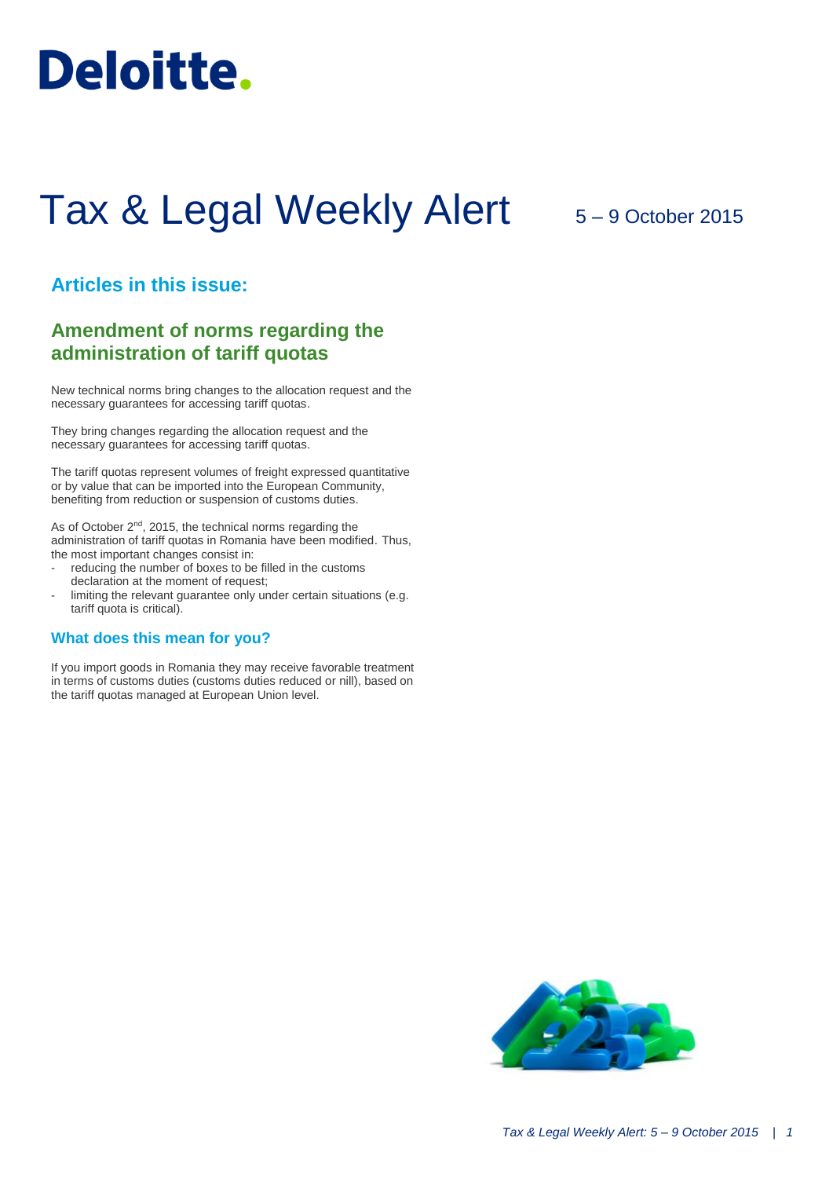

# Tax & Legal Weekly Alert

## 5 – 9 October 2015

## **Articles in this issue:**

## **Amendment of norms regarding the administration of tariff quotas**

New technical norms bring changes to the allocation request and the necessary guarantees for accessing tariff quotas.

They bring changes regarding the allocation request and the necessary guarantees for accessing tariff quotas.

The tariff quotas represent volumes of freight expressed quantitative or by value that can be imported into the European Community, benefiting from reduction or suspension of customs duties.

As of October 2<sup>nd</sup>, 2015, the technical norms regarding the administration of tariff quotas in Romania have been modified. Thus, the most important changes consist in:

- reducing the number of boxes to be filled in the customs declaration at the moment of request;
- limiting the relevant guarantee only under certain situations (e.g. tariff quota is critical).

#### **What does this mean for you?**

If you import goods in Romania they may receive favorable treatment in terms of customs duties (customs duties reduced or nill), based on the tariff quotas managed at European Union level.